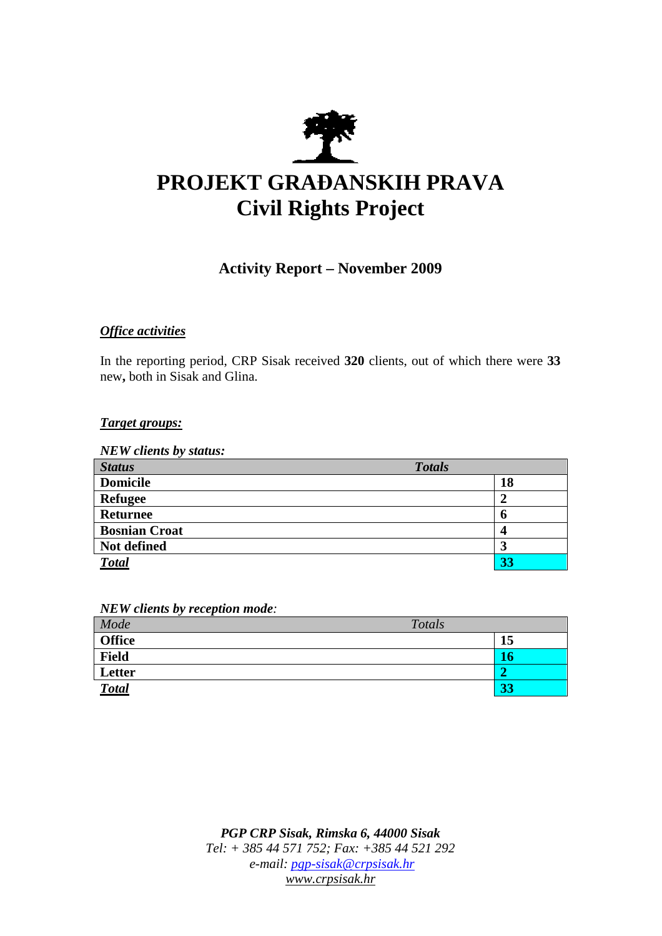

# **PROJEKT GRA**ð**ANSKIH PRAVA Civil Rights Project**

# **Activity Report – November 2009**

# *Office activities*

In the reporting period, CRP Sisak received **320** clients, out of which there were **33**  new**,** both in Sisak and Glina.

## *Target groups:*

*NEW clients by status:* 

| <b>Status</b>        | <b>Totals</b> |
|----------------------|---------------|
| <b>Domicile</b>      | 18            |
| <b>Refugee</b>       | 2             |
| <b>Returnee</b>      | o             |
| <b>Bosnian Croat</b> | 4             |
| Not defined          | 3             |
| <b>Total</b>         | 33            |

*NEW clients by reception mode:* 

| Mode          | Totals |    |
|---------------|--------|----|
| <b>Office</b> |        | 15 |
| <b>Field</b>  |        |    |
| Letter        |        |    |
| <b>Total</b>  |        | 33 |

*PGP CRP Sisak, Rimska 6, 44000 Sisak Tel: + 385 44 571 752; Fax: +385 44 521 292 e-mail: pgp-sisak@crpsisak.hr www.crpsisak.hr*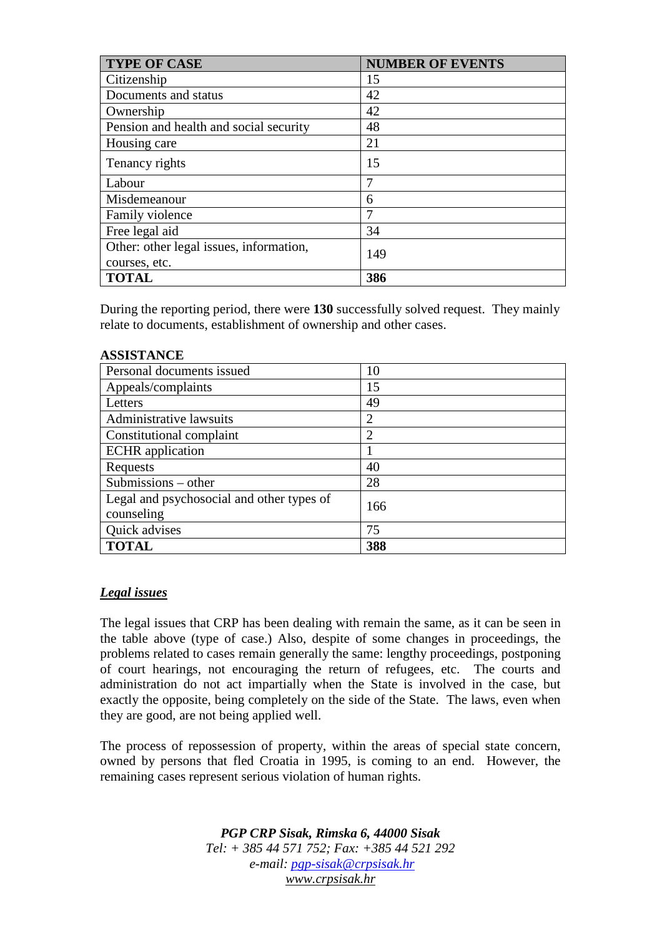| <b>TYPE OF CASE</b>                     | <b>NUMBER OF EVENTS</b> |
|-----------------------------------------|-------------------------|
| Citizenship                             | 15                      |
| Documents and status                    | 42                      |
| Ownership                               | 42                      |
| Pension and health and social security  | 48                      |
| Housing care                            | 21                      |
| Tenancy rights                          | 15                      |
| Labour                                  |                         |
| Misdemeanour                            | 6                       |
| Family violence                         | 7                       |
| Free legal aid                          | 34                      |
| Other: other legal issues, information, | 149                     |
| courses, etc.                           |                         |
| <b>TOTAL</b>                            | 386                     |

During the reporting period, there were **130** successfully solved request. They mainly relate to documents, establishment of ownership and other cases.

#### **ASSISTANCE**

| Personal documents issued                 | 10             |
|-------------------------------------------|----------------|
| Appeals/complaints                        | 15             |
| Letters                                   | 49             |
| Administrative lawsuits                   | $\overline{2}$ |
| Constitutional complaint                  | 2              |
| <b>ECHR</b> application                   |                |
| Requests                                  | 40             |
| Submissions - other                       | 28             |
| Legal and psychosocial and other types of | 166            |
| counseling                                |                |
| Quick advises                             | 75             |
| <b>TOTAL</b>                              | 388            |

### *Legal issues*

The legal issues that CRP has been dealing with remain the same, as it can be seen in the table above (type of case.) Also, despite of some changes in proceedings, the problems related to cases remain generally the same: lengthy proceedings, postponing of court hearings, not encouraging the return of refugees, etc. The courts and administration do not act impartially when the State is involved in the case, but exactly the opposite, being completely on the side of the State. The laws, even when they are good, are not being applied well.

The process of repossession of property, within the areas of special state concern, owned by persons that fled Croatia in 1995, is coming to an end. However, the remaining cases represent serious violation of human rights.

> *PGP CRP Sisak, Rimska 6, 44000 Sisak Tel: + 385 44 571 752; Fax: +385 44 521 292 e-mail: pgp-sisak@crpsisak.hr www.crpsisak.hr*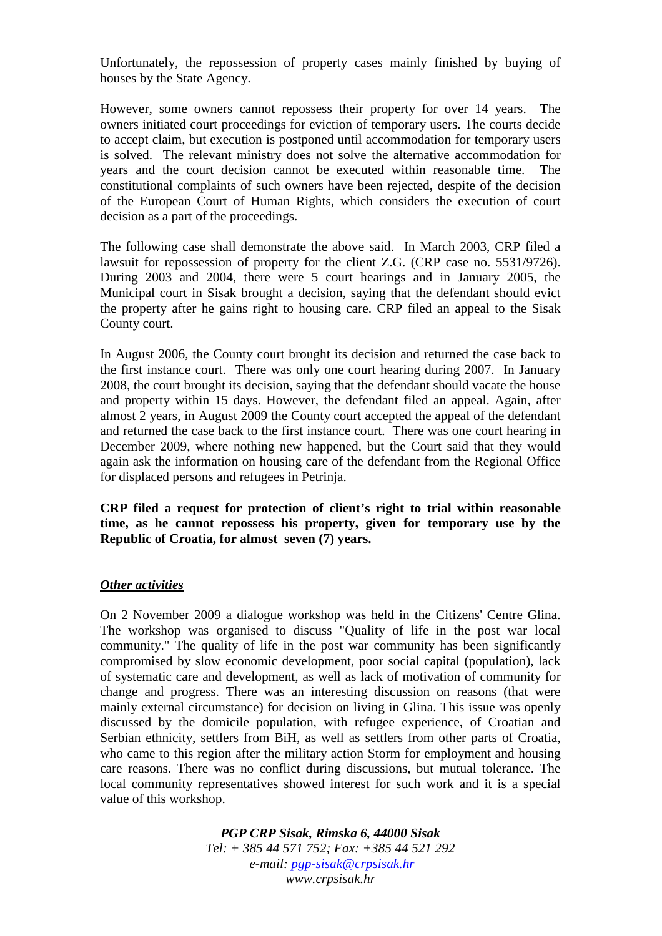Unfortunately, the repossession of property cases mainly finished by buying of houses by the State Agency.

However, some owners cannot repossess their property for over 14 years. The owners initiated court proceedings for eviction of temporary users. The courts decide to accept claim, but execution is postponed until accommodation for temporary users is solved. The relevant ministry does not solve the alternative accommodation for years and the court decision cannot be executed within reasonable time. The constitutional complaints of such owners have been rejected, despite of the decision of the European Court of Human Rights, which considers the execution of court decision as a part of the proceedings.

The following case shall demonstrate the above said. In March 2003, CRP filed a lawsuit for repossession of property for the client Z.G. (CRP case no. 5531/9726). During 2003 and 2004, there were 5 court hearings and in January 2005, the Municipal court in Sisak brought a decision, saying that the defendant should evict the property after he gains right to housing care. CRP filed an appeal to the Sisak County court.

In August 2006, the County court brought its decision and returned the case back to the first instance court. There was only one court hearing during 2007. In January 2008, the court brought its decision, saying that the defendant should vacate the house and property within 15 days. However, the defendant filed an appeal. Again, after almost 2 years, in August 2009 the County court accepted the appeal of the defendant and returned the case back to the first instance court. There was one court hearing in December 2009, where nothing new happened, but the Court said that they would again ask the information on housing care of the defendant from the Regional Office for displaced persons and refugees in Petrinja.

**CRP filed a request for protection of client's right to trial within reasonable time, as he cannot repossess his property, given for temporary use by the Republic of Croatia, for almost seven (7) years.** 

### *Other activities*

On 2 November 2009 a dialogue workshop was held in the Citizens' Centre Glina. The workshop was organised to discuss "Quality of life in the post war local community." The quality of life in the post war community has been significantly compromised by slow economic development, poor social capital (population), lack of systematic care and development, as well as lack of motivation of community for change and progress. There was an interesting discussion on reasons (that were mainly external circumstance) for decision on living in Glina. This issue was openly discussed by the domicile population, with refugee experience, of Croatian and Serbian ethnicity, settlers from BiH, as well as settlers from other parts of Croatia, who came to this region after the military action Storm for employment and housing care reasons. There was no conflict during discussions, but mutual tolerance. The local community representatives showed interest for such work and it is a special value of this workshop.

> *PGP CRP Sisak, Rimska 6, 44000 Sisak Tel: + 385 44 571 752; Fax: +385 44 521 292 e-mail: pgp-sisak@crpsisak.hr www.crpsisak.hr*